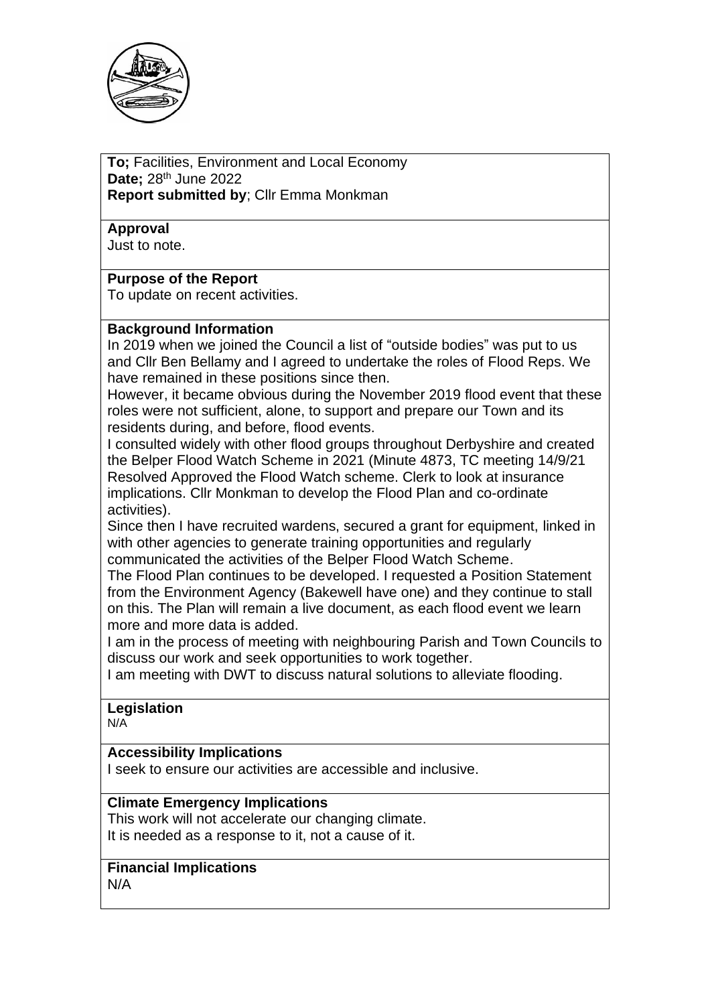

**To;** Facilities, Environment and Local Economy **Date;** 28th June 2022 **Report submitted by**; Cllr Emma Monkman

**Approval**

Just to note.

#### **Purpose of the Report**

To update on recent activities.

#### **Background Information**

In 2019 when we joined the Council a list of "outside bodies" was put to us and Cllr Ben Bellamy and I agreed to undertake the roles of Flood Reps. We have remained in these positions since then.

However, it became obvious during the November 2019 flood event that these roles were not sufficient, alone, to support and prepare our Town and its residents during, and before, flood events.

I consulted widely with other flood groups throughout Derbyshire and created the Belper Flood Watch Scheme in 2021 (Minute 4873, TC meeting 14/9/21 Resolved Approved the Flood Watch scheme. Clerk to look at insurance implications. Cllr Monkman to develop the Flood Plan and co-ordinate activities).

Since then I have recruited wardens, secured a grant for equipment, linked in with other agencies to generate training opportunities and regularly communicated the activities of the Belper Flood Watch Scheme.

The Flood Plan continues to be developed. I requested a Position Statement from the Environment Agency (Bakewell have one) and they continue to stall on this. The Plan will remain a live document, as each flood event we learn more and more data is added.

I am in the process of meeting with neighbouring Parish and Town Councils to discuss our work and seek opportunities to work together.

I am meeting with DWT to discuss natural solutions to alleviate flooding.

# **Legislation**

N/A

### **Accessibility Implications**

I seek to ensure our activities are accessible and inclusive.

#### **Climate Emergency Implications**

This work will not accelerate our changing climate. It is needed as a response to it, not a cause of it.

## **Financial Implications**

N/A